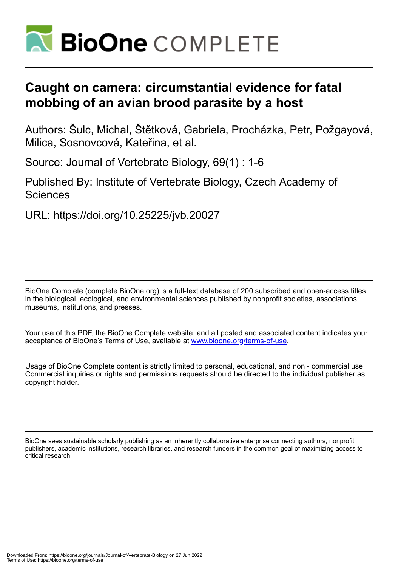

# **Caught on camera: circumstantial evidence for fatal mobbing of an avian brood parasite by a host**

Authors: Šulc, Michal, Štětková, Gabriela, Procházka, Petr, Požgayová, Milica, Sosnovcová, Kateřina, et al.

Source: Journal of Vertebrate Biology, 69(1) : 1-6

Published By: Institute of Vertebrate Biology, Czech Academy of Sciences

URL: https://doi.org/10.25225/jvb.20027

BioOne Complete (complete.BioOne.org) is a full-text database of 200 subscribed and open-access titles in the biological, ecological, and environmental sciences published by nonprofit societies, associations, museums, institutions, and presses.

Your use of this PDF, the BioOne Complete website, and all posted and associated content indicates your acceptance of BioOne's Terms of Use, available at www.bioone.org/terms-of-use.

Usage of BioOne Complete content is strictly limited to personal, educational, and non - commercial use. Commercial inquiries or rights and permissions requests should be directed to the individual publisher as copyright holder.

BioOne sees sustainable scholarly publishing as an inherently collaborative enterprise connecting authors, nonprofit publishers, academic institutions, research libraries, and research funders in the common goal of maximizing access to critical research.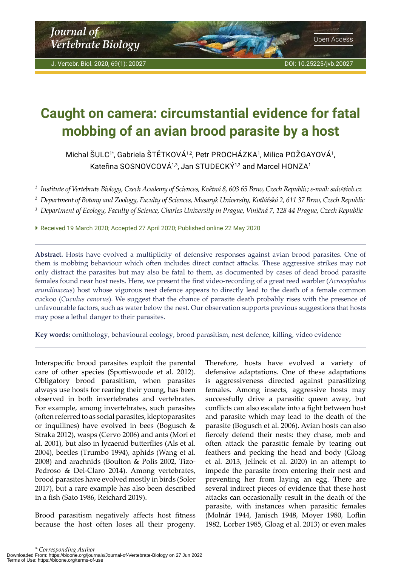# <span id="page-1-0"></span>**Caught on camera: circumstantial evidence for fatal mobbing of an avian brood parasite by a host**

Michal ŚULC1\*, Gabriela ŚTĖTKOVÁ1⁄2, Petr PROCHÁZKA1, Milica POŻGAYOVÁ1, Kateřina SOSNOVCOVÁ<sup>1,3</sup>, Jan STUDECKÝ<sup>1,3</sup> and Marcel HONZA<sup>1</sup>

<sup>1</sup> Institute of Vertebrate Biology, Czech Academy of Sciences, Květná 8, 603 65 Brno, Czech Republic; e-mail: sulc@ivb.cz

<sup>2</sup> Department of Botany and Zoology, Faculty of Sciences, Masaryk University, Kotlářská 2, 611 37 Brno, Czech Republic

<sup>3</sup> Department of Ecology, Faculty of Science, Charles University in Prague, Viničná 7, 128 44 Prague, Czech Republic

 Received 19 March 2020; Accepted 27 April 2020; Published online 22 May 2020

**Abstract.** Hosts have evolved a multiplicity of defensive responses against avian brood parasites. One of them is mobbing behaviour which often includes direct contact attacks. These aggressive strikes may not only distract the parasites but may also be fatal to them, as documented by cases of dead brood parasite females found near host nests. Here, we present the first video-recording of a great reed warbler (*Acrocephalus arundinaceus*) host whose vigorous nest defence appears to directly lead to the death of a female common cuckoo (*Cuculus canorus*). We suggest that the chance of parasite death probably rises with the presence of unfavourable factors, such as water below the nest. Our observation supports previous suggestions that hosts may pose a lethal danger to their parasites.

**Key words:** ornithology, behavioural ecology, brood parasitism, nest defence, killing, video evidence

Interspecific brood parasites exploit the parental care of other species (Spottiswoode et al. 2012). Obligatory brood parasitism, when parasites always use hosts for rearing their young, has been observed in both invertebrates and vertebrates. For example, among invertebrates, such parasites (often referred to as social parasites, kleptoparasites or inquilines) have evolved in bees (Bogusch & Straka 2012), wasps (Cervo 2006) and ants (Mori et al. 2001), but also in lycaenid butterflies (Als et al. 2004), beetles (Trumbo 1994), aphids (Wang et al. 2008) and arachnids (Boulton & Polis 2002, Tizo-Pedroso & Del-Claro 2014). Among vertebrates, brood parasites have evolved mostly in birds (Soler 2017), but a rare example has also been described in a fish (Sato 1986, Reichard 2019).

Brood parasitism negatively affects host fitness because the host often loses all their progeny. Therefore, hosts have evolved a variety of defensive adaptations. One of these adaptations is aggressiveness directed against parasitizing females. Among insects, aggressive hosts may successfully drive a parasitic queen away, but conflicts can also escalate into a fight between host and parasite which may lead to the death of the parasite (Bogusch et al. 2006). Avian hosts can also fiercely defend their nests: they chase, mob and often attack the parasitic female by tearing out feathers and pecking the head and body (Gloag et al. 2013, Jelínek et al. 2020) in an attempt to impede the parasite from entering their nest and preventing her from laying an egg. There are several indirect pieces of evidence that these host attacks can occasionally result in the death of the parasite, with instances when parasitic females (Molnár 1944, Janisch 1948, Moyer 1980, Loflin 1982, Lorber 1985, Gloag et al. 2013) or even males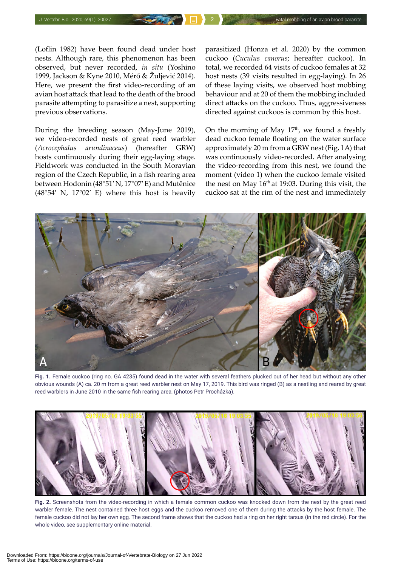(Loflin 1982) have been found dead under host nests. Although rare, this phenomenon has been observed, but never recorded, *in situ* (Yoshino 1999, Jackson & Kyne 2010, Mérő & Žuljević 2014). Here, we present the first video-recording of an avian host attack that lead to the death of the brood parasite attempting to parasitize a nest, supporting previous observations.

During the breeding season (May-June 2019), we video-recorded nests of great reed warbler (*Acrocephalus arundinaceus*) (hereafter GRW) hosts continuously during their egg-laying stage. Fieldwork was conducted in the South Moravian region of the Czech Republic, in a fish rearing area between Hodonín (48°51′ N, 17°07′ E) and Mutěnice (48°54′ N, 17°02′ E) where this host is heavily

parasitized (Honza et al. 2020) by the common cuckoo (*Cuculus canorus*; hereafter cuckoo). In total, we recorded 64 visits of cuckoo females at 32 host nests (39 visits resulted in egg-laying). In 26 of these laying visits, we observed host mobbing behaviour and at 20 of them the mobbing included direct attacks on the cuckoo. Thus, aggressiveness directed against cuckoos is common by this host.

On the morning of May  $17<sup>th</sup>$ , we found a freshly dead cuckoo female floating on the water surface approximately 20 m from a GRW nest (Fig. 1A) that was continuously video-recorded. After analysing the video-recording from this nest, we found the moment (video 1) when the cuckoo female visited the nest on May  $16<sup>th</sup>$  at 19:03. During this visit, the cuckoo sat at the rim of the nest and immediately



**Fig. 1.** Female cuckoo (ring no. GA 4235) found dead in the water with several feathers plucked out of her head but without any other obvious wounds (A) ca. 20 m from a great reed warbler nest on May 17, 2019. This bird was ringed (B) as a nestling and reared by great reed warblers in June 2010 in the same fish rearing area, (photos Petr Procházka).



**Fig. 2.** Screenshots from the video-recording in which a female common cuckoo was knocked down from the nest by the great reed warbler female. The nest contained three host eggs and the cuckoo removed one of them during the attacks by the host female. The female cuckoo did not lay her own egg. The second frame shows that the cuckoo had a ring on her right tarsus (in the red circle). For the whole video, see supplementary online material.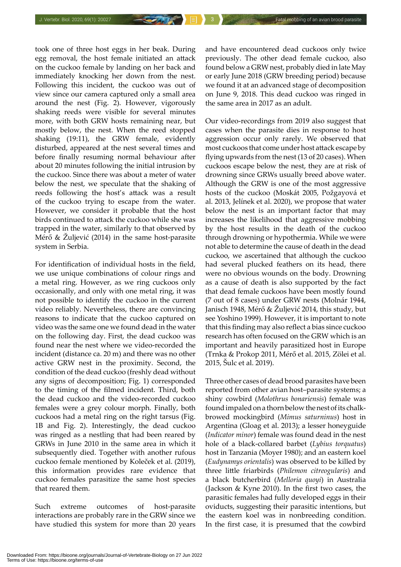took one of three host eggs in her beak. During egg removal, the host female initiated an attack on the cuckoo female by landing on her back and immediately knocking her down from the nest. Following this incident, the cuckoo was out of view since our camera captured only a small area around the nest (Fig. 2). However, vigorously shaking reeds were visible for several minutes more, with both GRW hosts remaining near, but mostly below, the nest. When the reed stopped shaking (19:11), the GRW female, evidently disturbed, appeared at the nest several times and before finally resuming normal behaviour after about 20 minutes following the initial intrusion by the cuckoo. Since there was about a meter of water below the nest, we speculate that the shaking of reeds following the host's attack was a result of the cuckoo trying to escape from the water. However, we consider it probable that the host birds continued to attack the cuckoo while she was trapped in the water, similarly to that observed by Mérő & Žuljević (2014) in the same host-parasite system in Serbia.

For identification of individual hosts in the field, we use unique combinations of colour rings and a metal ring. However, as we ring cuckoos only occasionally, and only with one metal ring, it was not possible to identify the cuckoo in the current video reliably. Nevertheless, there are convincing reasons to indicate that the cuckoo captured on video was the same one we found dead in the water on the following day. First, the dead cuckoo was found near the nest where we video-recorded the incident (distance ca. 20 m) and there was no other active GRW nest in the proximity. Second, the condition of the dead cuckoo (freshly dead without any signs of decomposition; Fig. 1) corresponded to the timing of the filmed incident. Third, both the dead cuckoo and the video-recorded cuckoo females were a grey colour morph. Finally, both cuckoos had a metal ring on the right tarsus (Fig. 1B and Fig. 2). Interestingly, the dead cuckoo was ringed as a nestling that had been reared by GRWs in June 2010 in the same area in which it subsequently died. Together with another rufous cuckoo female mentioned by Koleček et al. (2019), this information provides rare evidence that cuckoo females parasitize the same host species that reared them.

Such extreme outcomes of host-parasite interactions are probably rare in the GRW since we have studied this system for more than 20 years

and have encountered dead cuckoos only twice previously. The other dead female cuckoo, also found below a GRW nest, probably died in late May or early June 2018 (GRW breeding period) because we found it at an advanced stage of decomposition on June 9, 2018. This dead cuckoo was ringed in the same area in 2017 as an adult.

Our video-recordings from 2019 also suggest that cases when the parasite dies in response to host aggression occur only rarely. We observed that most cuckoos that come under host attack escape by flying upwards from the nest (13 of 20 cases). When cuckoos escape below the nest, they are at risk of drowning since GRWs usually breed above water. Although the GRW is one of the most aggressive hosts of the cuckoo (Moskát 2005, Požgayová et al. 2013, Jelínek et al. 2020), we propose that water below the nest is an important factor that may increases the likelihood that aggressive mobbing by the host results in the death of the cuckoo through drowning or hypothermia. While we were not able to determine the cause of death in the dead cuckoo, we ascertained that although the cuckoo had several plucked feathers on its head, there were no obvious wounds on the body. Drowning as a cause of death is also supported by the fact that dead female cuckoos have been mostly found (7 out of 8 cases) under GRW nests (Molnár 1944, Janisch 1948, Mérő & Žuljević 2014, this study, but see Yoshino 1999). However, it is important to note that this finding may also reflect a bias since cuckoo research has often focused on the GRW which is an important and heavily parasitized host in Europe (Trnka & Prokop 2011, Mérő et al. 2015, Zölei et al. 2015, Šulc et al. 2019).

Three other cases of dead brood parasites have been reported from other avian host–parasite systems; a shiny cowbird (*Molothrus bonariensis*) female was found impaled on a thorn below the nest of its chalkbrowed mockingbird (*Mimus saturninus*) host in Argentina (Gloag et al. 2013); a lesser honeyguide (*Indicator minor*) female was found dead in the nest hole of a black-collared barbet (*Lybius torquatus*) host in Tanzania (Moyer 1980); and an eastern koel (*Eudynamys orientalis*) was observed to be killed by three little friarbirds (*Philemon citreogularis*) and a black butcherbird (*Melloria quoyi*) in Australia (Jackson & Kyne 2010). In the first two cases, the parasitic females had fully developed eggs in their oviducts, suggesting their parasitic intentions, but the eastern koel was in nonbreeding condition. In the first case, it is presumed that the cowbird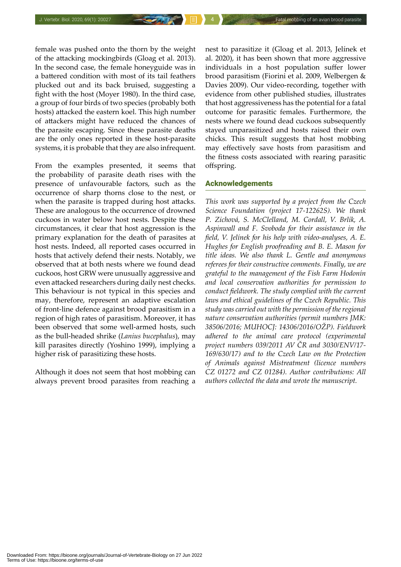female was pushed onto the thorn by the weight of the attacking mockingbirds (Gloag et al. 2013). In the second case, the female honeyguide was in a battered condition with most of its tail feathers plucked out and its back bruised, suggesting a fight with the host (Moyer 1980). In the third case, a group of four birds of two species (probably both hosts) attacked the eastern koel. This high number of attackers might have reduced the chances of the parasite escaping. Since these parasite deaths are the only ones reported in these host-parasite systems, it is probable that they are also infrequent.

From the examples presented, it seems that the probability of parasite death rises with the presence of unfavourable factors, such as the occurrence of sharp thorns close to the nest, or when the parasite is trapped during host attacks. These are analogous to the occurrence of drowned cuckoos in water below host nests. Despite these circumstances, it clear that host aggression is the primary explanation for the death of parasites at host nests. Indeed, all reported cases occurred in hosts that actively defend their nests. Notably, we observed that at both nests where we found dead cuckoos, host GRW were unusually aggressive and even attacked researchers during daily nest checks. This behaviour is not typical in this species and may, therefore, represent an adaptive escalation of front-line defence against brood parasitism in a region of high rates of parasitism. Moreover, it has been observed that some well-armed hosts, such as the bull-headed shrike (*Lanius bucephalus*), may kill parasites directly (Yoshino 1999), implying a higher risk of parasitizing these hosts.

Although it does not seem that host mobbing can always prevent brood parasites from reaching a nest to parasitize it (Gloag et al. 2013, Jelínek et al. 2020), it has been shown that more aggressive individuals in a host population suffer lower brood parasitism (Fiorini et al. 2009, Welbergen & Davies 2009). Our video-recording, together with evidence from other published studies, illustrates that host aggressiveness has the potential for a fatal outcome for parasitic females. Furthermore, the nests where we found dead cuckoos subsequently stayed unparasitized and hosts raised their own chicks. This result suggests that host mobbing may effectively save hosts from parasitism and the fitness costs associated with rearing parasitic offspring.

#### Acknowledgements

*This work was supported by a project from the Czech Science Foundation (project 17-12262S). We thank P. Zichová, S. McClelland, M. Cordall, V. Brlík, A. Aspinwall and F. Svoboda for their assistance in the field, V. Jelínek for his help with video-analyses, A. E. Hughes for English proofreading and B. E. Mason for title ideas. We also thank L. Gentle and anonymous referees for their constructive comments. Finally, we are grateful to the management of the Fish Farm Hodonín and local conservation authorities for permission to conduct fieldwork. The study complied with the current laws and ethical guidelines of the Czech Republic. This study was carried out with the permission of the regional nature conservation authorities (permit numbers JMK: 38506/2016; MUHOCJ: 14306/2016/OŽP). Fieldwork adhered to the animal care protocol (experimental project numbers 039/2011 AV ČR and 3030/ENV/17- 169/630/17) and to the Czech Law on the Protection of Animals against Mistreatment (licence numbers CZ 01272 and CZ 01284). Author contributions: All authors collected the data and wrote the manuscript.*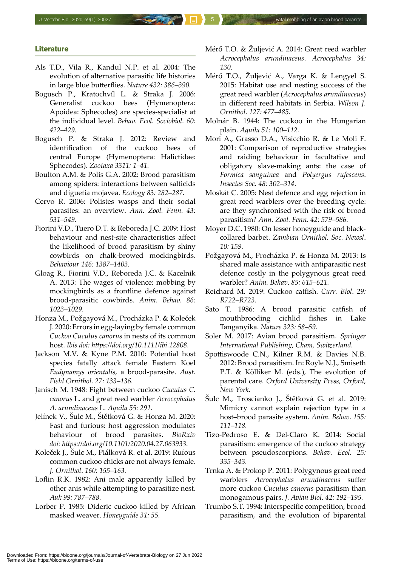### **Literature**

- Als T.D., Vila R., Kandul N.P. et al. 2004: The evolution of alternative parasitic life histories in large blue butterflies. *Nature 432: 386–390.*
- Bogusch P., Kratochvíl L. & Straka J. 2006: Generalist cuckoo bees (Hymenoptera: Apoidea: Sphecodes) are species-specialist at the individual level. *Behav. Ecol. Sociobiol. 60: 422–429.*
- Bogusch P. & Straka J. 2012: Review and identification of the cuckoo bees of central Europe (Hymenoptera: Halictidae: Sphecodes). *Zootaxa 3311: 1–41.*
- Boulton A.M. & Polis G.A. 2002: Brood parasitism among spiders: interactions between salticids and diguetia mojavea. *Ecology 83: 282–287.*
- Cervo R. 2006: Polistes wasps and their social parasites: an overview. *Ann. Zool. Fenn. 43: 531–549.*
- Fiorini V.D., Tuero D.T. & Reboreda J.C. 2009: Host behaviour and nest-site characteristics affect the likelihood of brood parasitism by shiny cowbirds on chalk-browed mockingbirds. *Behaviour 146: 1387–1403.*
- Gloag R., Fiorini V.D., Reboreda J.C. & Kacelnik A. 2013: The wages of violence: mobbing by mockingbirds as a frontline defence against brood-parasitic cowbirds. *Anim. Behav. 86: 1023–1029.*
- Honza M., Požgayová M., Procházka P. & Koleček J. 2020: Errors in egg-laying by female common *Cuckoo Cuculus canorus* in nests of its common host. *Ibis doi: [https://doi.org/10.1111/ibi.12808.](https://doi.org/10.1111/ibi.12808)*
- Jackson M.V. & Kyne P.M. 2010: Potential host species fatally attack female Eastern Koel *Eudynamys orientalis*, a brood-parasite. *Aust. Field Ornithol. 27: 133–136.*
- Janisch M. 1948: Fight between cuckoo *Cuculus C. canorus* L. and great reed warbler *Acrocephalus A. arundinaceus* L. *Aquila 55: 291.*
- Jelínek V., Šulc M., Štětková G. & Honza M. 2020: Fast and furious: host aggression modulates behaviour of brood parasites. *BioRxiv doi: <https://doi.org/10.1101/2020.04.27.063933>.*
- Koleček J., Šulc M., Piálková R. et al. 2019: Rufous common cuckoo chicks are not always female. *J. Ornithol*. *160: 155–163.*
- Loflin R.K. 1982: Ani male apparently killed by other anis while attempting to parasitize nest. *Auk 99: 787–788.*
- Lorber P. 1985: Dideric cuckoo killed by African masked weaver. *Honeyguide 31: 55.*
- Mérő T.O. & Žuljević A. 2014: Great reed warbler *Acrocephalus arundinaceus*. *Acrocephalus 34: 130.*
- Mérő T.O., Žuljević A., Varga K. & Lengyel S. 2015: Habitat use and nesting success of the great reed warbler (*Acrocephalus arundinaceus*) in different reed habitats in Serbia. *Wilson J. Ornithol. 127: 477–485.*
- Molnár B. 1944: The cuckoo in the Hungarian plain. *Aquila 51: 100–112.*
- Mori A., Grasso D.A., Visicchio R. & Le Moli F. 2001: Comparison of reproductive strategies and raiding behaviour in facultative and obligatory slave-making ants: the case of *Formica sanguinea* and *Polyergus rufescens*. *Insectes Soc. 48: 302–314.*
- Moskát C. 2005: Nest defence and egg rejection in great reed warblers over the breeding cycle: are they synchronised with the risk of brood parasitism? *Ann. Zool. Fenn*. *42: 579–586.*
- Moyer D.C. 1980: On lesser honeyguide and blackcollared barbet. *Zambian Ornithol. Soc. Newsl*. *10: 159.*
- Požgayová M., Procházka P. & Honza M. 2013: Is shared male assistance with antiparasitic nest defence costly in the polygynous great reed warbler? *Anim. Behav*. *85: 615–621.*
- Reichard M. 2019: Cuckoo catfish. *Curr. Biol*. *29: R722–R723.*
- Sato T. 1986: A brood parasitic catfish of mouthbrooding cichlid fishes in Lake Tanganyika. *Nature 323: 58–59.*
- Soler M. 2017: Avian brood parasitism. *Springer International Publishing, Cham, Switzerland.*
- Spottiswoode C.N., Kilner R.M. & Davies N.B. 2012: Brood parasitism. In: Royle N.J., Smiseth P.T. & Kölliker M. (eds.), The evolution of parental care. *Oxford University Press, Oxford, New York.*
- Šulc M., Troscianko J., Štětková G. et al. 2019: Mimicry cannot explain rejection type in a host–brood parasite system. *Anim. Behav. 155: 111–118.*
- Tizo-Pedroso E. & Del-Claro K. 2014: Social parasitism: emergence of the cuckoo strategy between pseudoscorpions. *Behav. Ecol. 25: 335–343.*
- Trnka A. & Prokop P. 2011: Polygynous great reed warblers *Acrocephalus arundinaceus* suffer more cuckoo *Cuculus canorus* parasitism than monogamous pairs. *J. Avian Biol. 42: 192–195.*
- Trumbo S.T. 1994: Interspecific competition, brood parasitism, and the evolution of biparental